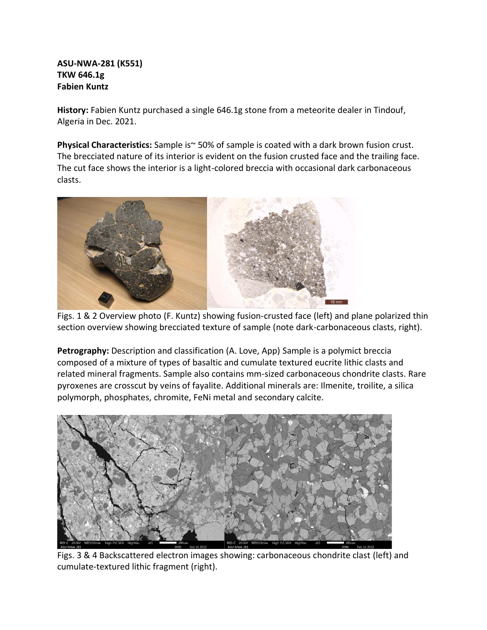## **ASU-NWA-281 (K551) TKW 646.1g Fabien Kuntz**

**History:** Fabien Kuntz purchased a single 646.1g stone from a meteorite dealer in Tindouf, Algeria in Dec. 2021.

**Physical Characteristics:** Sample is~50% of sample is coated with a dark brown fusion crust. The brecciated nature of its interior is evident on the fusion crusted face and the trailing face. The cut face shows the interior is a light-colored breccia with occasional dark carbonaceous clasts.



Figs. 1 & 2 Overview photo (F. Kuntz) showing fusion-crusted face (left) and plane polarized thin section overview showing brecciated texture of sample (note dark-carbonaceous clasts, right).

**Petrography:** Description and classification (A. Love, App) Sample is a polymict breccia composed of a mixture of types of basaltic and cumulate textured eucrite lithic clasts and related mineral fragments. Sample also contains mm-sized carbonaceous chondrite clasts. Rare pyroxenes are crosscut by veins of fayalite. Additional minerals are: Ilmenite, troilite, a silica polymorph, phosphates, chromite, FeNi metal and secondary calcite.



Figs. 3 & 4 Backscattered electron images showing: carbonaceous chondrite clast (left) and cumulate-textured lithic fragment (right).